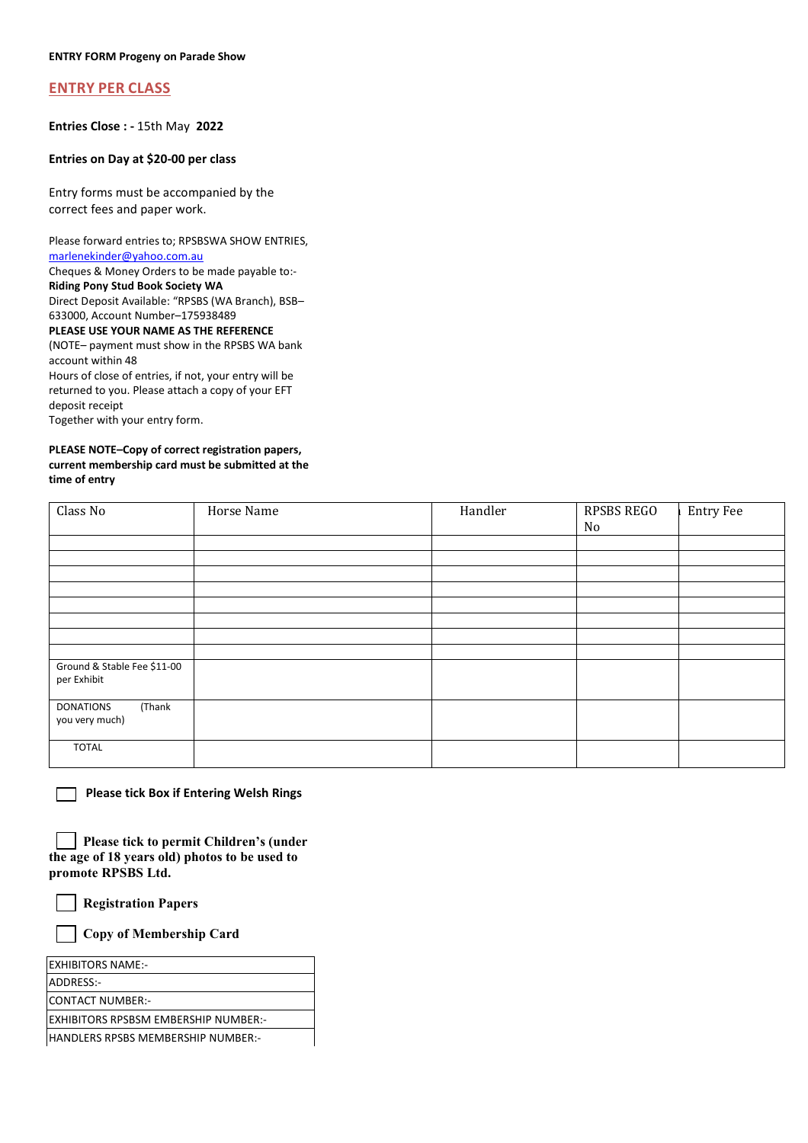## **ENTRY PER CLASS**

**Entries Close : -** 15th May **2022** 

## **Entries on Day at \$20-00 per class**

Entry forms must be accompanied by the correct fees and paper work.

Please forward entries to; RPSBSWA SHOW ENTRIES, [marlenekinder@yahoo.com.au](mailto:marlenekinder@yahoo.com.au)  Cheques & Money Orders to be made payable to:-

**Riding Pony Stud Book Society WA**

Direct Deposit Available: "RPSBS (WA Branch), BSB–

633000, Account Number–175938489 **PLEASE USE YOUR NAME AS THE REFERENCE**

(NOTE– payment must show in the RPSBS WA bank

account within 48 Hours of close of entries, if not, your entry will be returned to you. Please attach a copy of your EFT deposit receipt Together with your entry form.

## **PLEASE NOTE–Copy of correct registration papers, current membership card must be submitted at the time of entry**

| Class No                                     | Horse Name | Handler | RPSBS REGO<br>No | <b>Entry Fee</b> |
|----------------------------------------------|------------|---------|------------------|------------------|
|                                              |            |         |                  |                  |
|                                              |            |         |                  |                  |
|                                              |            |         |                  |                  |
|                                              |            |         |                  |                  |
|                                              |            |         |                  |                  |
|                                              |            |         |                  |                  |
|                                              |            |         |                  |                  |
|                                              |            |         |                  |                  |
|                                              |            |         |                  |                  |
| Ground & Stable Fee \$11-00<br>per Exhibit   |            |         |                  |                  |
| (Thank<br><b>DONATIONS</b><br>you very much) |            |         |                  |                  |
| <b>TOTAL</b>                                 |            |         |                  |                  |

 **Please tick Box if Entering Welsh Rings** 

| Please tick to permit Children's (under       |  |
|-----------------------------------------------|--|
| the age of 18 years old) photos to be used to |  |
| promote RPSBS Ltd.                            |  |

 **Registration Papers** 

 **Copy of Membership Card**

| <b>EXHIBITORS NAME:-</b>                    |  |
|---------------------------------------------|--|
| ADDRESS:-                                   |  |
| ICONTACT NUMBER:-                           |  |
| <b>EXHIBITORS RPSBSM EMBERSHIP NUMBER:-</b> |  |
| HANDLERS RPSBS MEMBERSHIP NUMBER:-          |  |